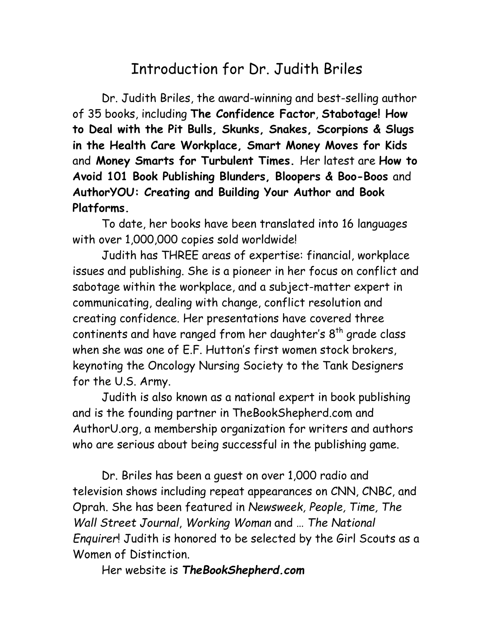## Introduction for Dr. Judith Briles

Dr. Judith Briles, the award-winning and best-selling author of 35 books, including **The Confidence Factor**, **Stabotage! How to Deal with the Pit Bulls, Skunks, Snakes, Scorpions & Slugs in the Health Care Workplace, Smart Money Moves for Kids** and **Money Smarts for Turbulent Times.** Her latest are **How to Avoid 101 Book Publishing Blunders, Bloopers & Boo-Boos** and **AuthorYOU: Creating and Building Your Author and Book Platforms.**

To date, her books have been translated into 16 languages with over 1,000,000 copies sold worldwide!

Judith has THREE areas of expertise: financial, workplace issues and publishing. She is a pioneer in her focus on conflict and sabotage within the workplace, and a subject-matter expert in communicating, dealing with change, conflict resolution and creating confidence. Her presentations have covered three continents and have ranged from her daughter's  $8<sup>th</sup>$  grade class when she was one of E.F. Hutton's first women stock brokers, keynoting the Oncology Nursing Society to the Tank Designers for the U.S. Army.

Judith is also known as a national expert in book publishing and is the founding partner in TheBookShepherd.com and AuthorU.org, a membership organization for writers and authors who are serious about being successful in the publishing game.

Dr. Briles has been a guest on over 1,000 radio and television shows including repeat appearances on CNN, CNBC, and Oprah. She has been featured in *Newsweek, People, Time, The Wall Street Journal*, *Working Woman* and … *The National Enquirer*! Judith is honored to be selected by the Girl Scouts as a Women of Distinction.

Her website is *TheBookShepherd.com*